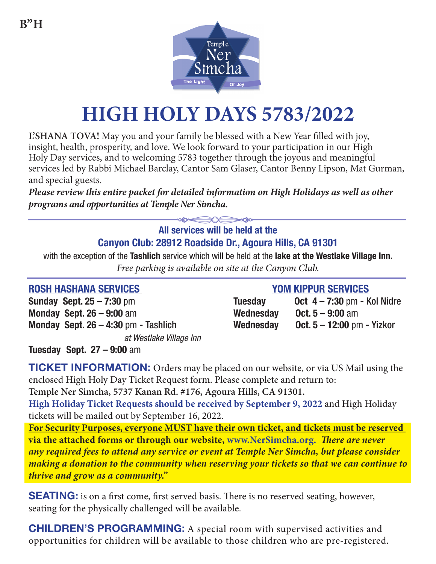

# **HIGH HOLY DAYS 5783/2022**

**L'SHANA TOVA!** May you and your family be blessed with a New Year filled with joy, insight, health, prosperity, and love. We look forward to your participation in our High Holy Day services, and to welcoming 5783 together through the joyous and meaningful services led by Rabbi Michael Barclay, Cantor Sam Glaser, Cantor Benny Lipson, Mat Gurman, and special guests.

*Please review this entire packet for detailed information on High Holidays as well as other programs and opportunities at Temple Ner Simcha.* **All services will be held at the** 

# **Canyon Club: 28912 Roadside Dr., Agoura Hills, CA 91301**

with the exception of the **Tashlich** service which will be held at the **lake at the Westlake Village Inn.** *Free parking is available on site at the Canyon Club.*

### **ROSH HASHANA SERVICES YOM KIPPUR SERVICES**

**Sunday Sept. 25 – 7:30 pm Monday Sept. 26 – 9:00 am Monday Sept. 26 – 4:30 pm - Tashlich** *at Westlake Village Inn*

| <b>Tuesday</b> | <b>Oct 4-7:30 pm - Kol Nidre</b>  |
|----------------|-----------------------------------|
| Wednesday      | <b>Oct.</b> $5 - 9:00$ am         |
| Wednesday      | <b>Oct. 5 – 12:00 pm - Yizkor</b> |

**Tuesday Sept. 27 – 9:00** am

**TICKET INFORMATION:** Orders may be placed on our website, or via US Mail using the enclosed High Holy Day Ticket Request form. Please complete and return to: **Temple Ner Simcha, 5737 Kanan Rd. #176, Agoura Hills, CA 91301. High Holiday Ticket Requests should be received by September 9, 2022** and High Holiday tickets will be mailed out by September 16, 2022. **For Security Purposes, everyone MUST have their own ticket, and tickets must be reserved via the attached forms or through our website, www.NerSimcha.org.** *There are never any required fees to attend any service or event at Temple Ner Simcha, but please consider making a donation to the community when reserving your tickets so that we can continue to thrive and grow as a community."*

**SEATING:** is on a first come, first served basis. There is no reserved seating, however, seating for the physically challenged will be available.

**CHILDREN'S PROGRAMMING:** A special room with supervised activities and opportunities for children will be available to those children who are pre-registered.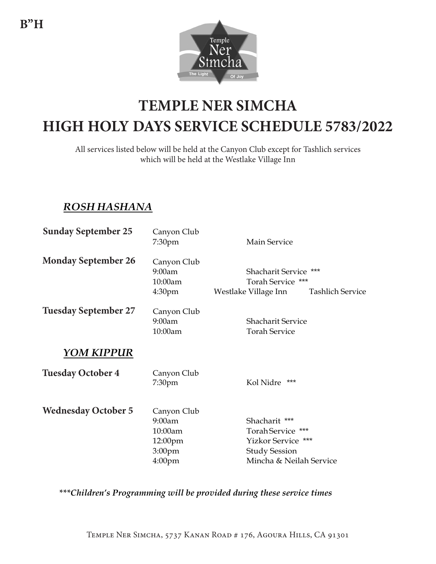

# **TEMPLE NER SIMCHA TEMPLE NER SIMCHA HIGH HOLY DAYS SERVICE SCHEDULE 5779/2018 HIGH HOLY DAYS SERVICE SCHEDULE 5783/2022**

which will be held at the Westlake Village Inn All services listed below will be held at the Canyon Club except for Tashlich services

### *ROSH HASHANA*

| <b>Sunday September 25</b>  | Canyon Club<br>7:30pm                                                                   | <b>Main Service</b>                                                                                         |
|-----------------------------|-----------------------------------------------------------------------------------------|-------------------------------------------------------------------------------------------------------------|
| <b>Monday September 26</b>  | Canyon Club<br>9:00am<br>10:00am<br>4:30 <sub>pm</sub>                                  | Shacharit Service ***<br>Torah Service ***<br>Westlake Village Inn<br><b>Tashlich Service</b>               |
| <b>Tuesday September 27</b> | Canyon Club<br>9:00am<br>10:00am                                                        | <b>Shacharit Service</b><br><b>Torah Service</b>                                                            |
| YOM KIPPUR                  |                                                                                         |                                                                                                             |
| <b>Tuesday October 4</b>    | Canyon Club<br>7:30pm                                                                   | Kol Nidre<br>***                                                                                            |
| <b>Wednesday October 5</b>  | Canyon Club<br>9:00am<br>10:00am<br>12:00pm<br>3:00 <sub>pm</sub><br>4:00 <sub>pm</sub> | Shacharit ***<br>Torah Service ***<br>Yizkor Service ***<br><b>Study Session</b><br>Mincha & Neilah Service |

*\*\*\*Children's Programming will be provided during these service times*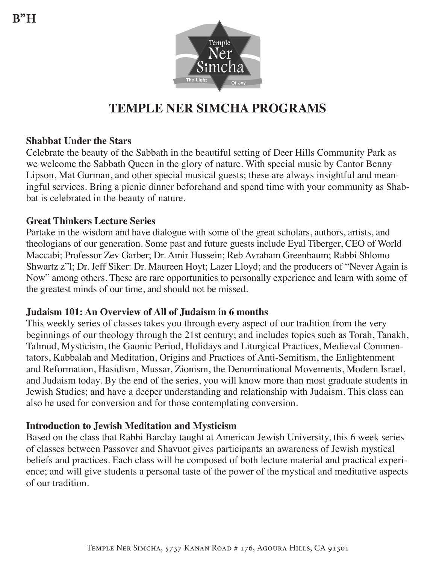

# **TEMPLE NER SIMCHA PROGRAMS**

#### **Shabbat Under the Stars**

Celebrate the beauty of the Sabbath in the beautiful setting of Deer Hills Community Park as we welcome the Sabbath Queen in the glory of nature. With special music by Cantor Benny Lipson, Mat Gurman, and other special musical guests; these are always insightful and meaningful services. Bring a picnic dinner beforehand and spend time with your community as Shabbat is celebrated in the beauty of nature.

#### **Great Thinkers Lecture Series**

Partake in the wisdom and have dialogue with some of the great scholars, authors, artists, and theologians of our generation. Some past and future guests include Eyal Tiberger, CEO of World Maccabi; Professor Zev Garber; Dr. Amir Hussein; Reb Avraham Greenbaum; Rabbi Shlomo Shwartz z"l; Dr. Jeff Siker: Dr. Maureen Hoyt; Lazer Lloyd; and the producers of "Never Again is Now" among others. These are rare opportunities to personally experience and learn with some of the greatest minds of our time, and should not be missed.

#### **Judaism 101: An Overview of All of Judaism in 6 months**

This weekly series of classes takes you through every aspect of our tradition from the very beginnings of our theology through the 21st century; and includes topics such as Torah, Tanakh, Talmud, Mysticism, the Gaonic Period, Holidays and Liturgical Practices, Medieval Commentators, Kabbalah and Meditation, Origins and Practices of Anti-Semitism, the Enlightenment and Reformation, Hasidism, Mussar, Zionism, the Denominational Movements, Modern Israel, and Judaism today. By the end of the series, you will know more than most graduate students in Jewish Studies; and have a deeper understanding and relationship with Judaism. This class can also be used for conversion and for those contemplating conversion.

#### **Introduction to Jewish Meditation and Mysticism**

Based on the class that Rabbi Barclay taught at American Jewish University, this 6 week series of classes between Passover and Shavuot gives participants an awareness of Jewish mystical beliefs and practices. Each class will be composed of both lecture material and practical experience; and will give students a personal taste of the power of the mystical and meditative aspects of our tradition.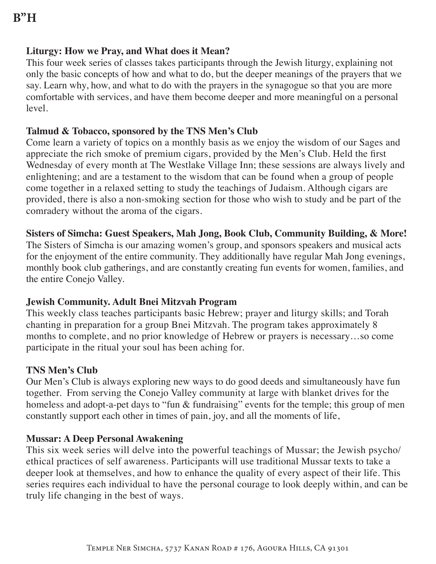#### **Liturgy: How we Pray, and What does it Mean?**

This four week series of classes takes participants through the Jewish liturgy, explaining not only the basic concepts of how and what to do, but the deeper meanings of the prayers that we say. Learn why, how, and what to do with the prayers in the synagogue so that you are more comfortable with services, and have them become deeper and more meaningful on a personal level.

#### **Talmud & Tobacco, sponsored by the TNS Men's Club**

Come learn a variety of topics on a monthly basis as we enjoy the wisdom of our Sages and appreciate the rich smoke of premium cigars, provided by the Men's Club. Held the first Wednesday of every month at The Westlake Village Inn; these sessions are always lively and enlightening; and are a testament to the wisdom that can be found when a group of people come together in a relaxed setting to study the teachings of Judaism. Although cigars are provided, there is also a non-smoking section for those who wish to study and be part of the comradery without the aroma of the cigars.

#### **Sisters of Simcha: Guest Speakers, Mah Jong, Book Club, Community Building, & More!**

The Sisters of Simcha is our amazing women's group, and sponsors speakers and musical acts for the enjoyment of the entire community. They additionally have regular Mah Jong evenings, monthly book club gatherings, and are constantly creating fun events for women, families, and the entire Conejo Valley.

#### **Jewish Community. Adult Bnei Mitzvah Program**

This weekly class teaches participants basic Hebrew; prayer and liturgy skills; and Torah chanting in preparation for a group Bnei Mitzvah. The program takes approximately 8 months to complete, and no prior knowledge of Hebrew or prayers is necessary…so come participate in the ritual your soul has been aching for.

#### **TNS Men's Club**

Our Men's Club is always exploring new ways to do good deeds and simultaneously have fun together. From serving the Conejo Valley community at large with blanket drives for the homeless and adopt-a-pet days to "fun & fundraising" events for the temple; this group of men constantly support each other in times of pain, joy, and all the moments of life,

#### **Mussar: A Deep Personal Awakening**

This six week series will delve into the powerful teachings of Mussar; the Jewish psycho/ ethical practices of self awareness. Participants will use traditional Mussar texts to take a deeper look at themselves, and how to enhance the quality of every aspect of their life. This series requires each individual to have the personal courage to look deeply within, and can be truly life changing in the best of ways.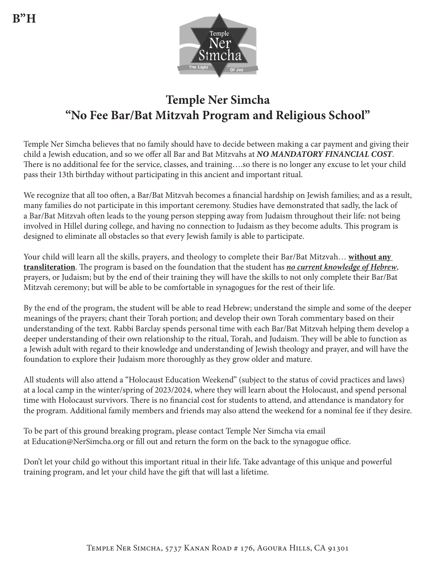

# **Temple Ner Simcha "No Fee Bar/Bat Mitzvah Program and Religious School"**

Temple Ner Simcha believes that no family should have to decide between making a car payment and giving their child a Jewish education, and so we offer all Bar and Bat Mitzvahs at *NO MANDATORY FINANCIAL COST*. There is no additional fee for the service, classes, and training….so there is no longer any excuse to let your child pass their 13th birthday without participating in this ancient and important ritual.

We recognize that all too often, a Bar/Bat Mitzvah becomes a financial hardship on Jewish families; and as a result, many families do not participate in this important ceremony. Studies have demonstrated that sadly, the lack of a Bar/Bat Mitzvah often leads to the young person stepping away from Judaism throughout their life: not being involved in Hillel during college, and having no connection to Judaism as they become adults. This program is designed to eliminate all obstacles so that every Jewish family is able to participate.

Your child will learn all the skills, prayers, and theology to complete their Bar/Bat Mitzvah… **without any transliteration**. The program is based on the foundation that the student has *no current knowledge of Hebrew*, prayers, or Judaism; but by the end of their training they will have the skills to not only complete their Bar/Bat Mitzvah ceremony; but will be able to be comfortable in synagogues for the rest of their life.

By the end of the program, the student will be able to read Hebrew; understand the simple and some of the deeper meanings of the prayers; chant their Torah portion; and develop their own Torah commentary based on their understanding of the text. Rabbi Barclay spends personal time with each Bar/Bat Mitzvah helping them develop a deeper understanding of their own relationship to the ritual, Torah, and Judaism. They will be able to function as a Jewish adult with regard to their knowledge and understanding of Jewish theology and prayer, and will have the foundation to explore their Judaism more thoroughly as they grow older and mature.

All students will also attend a "Holocaust Education Weekend" (subject to the status of covid practices and laws) at a local camp in the winter/spring of 2023/2024, where they will learn about the Holocaust, and spend personal time with Holocaust survivors. There is no financial cost for students to attend, and attendance is mandatory for the program. Additional family members and friends may also attend the weekend for a nominal fee if they desire.

To be part of this ground breaking program, please contact Temple Ner Simcha via email at Education@NerSimcha.org or fill out and return the form on the back to the synagogue office.

Don't let your child go without this important ritual in their life. Take advantage of this unique and powerful training program, and let your child have the gift that will last a lifetime.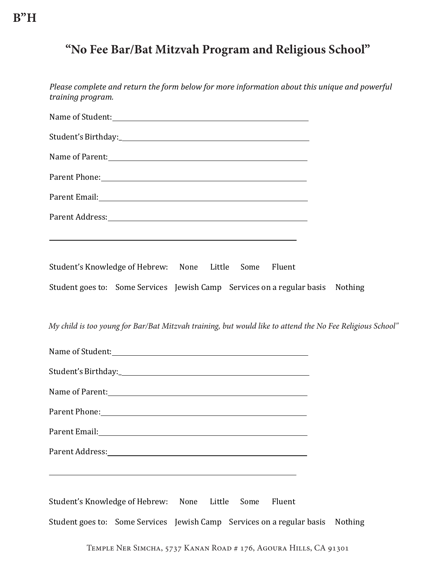### *"No Fees" Intensive Bar/Bat Mitzvah Program\** **"No Fee Bar/Bat Mitzvah Program and Religious School"**

| Please complete and return the form below for more information about this unique and powerful<br>training program.                                                                                                             |
|--------------------------------------------------------------------------------------------------------------------------------------------------------------------------------------------------------------------------------|
|                                                                                                                                                                                                                                |
|                                                                                                                                                                                                                                |
| Name of Parent:                                                                                                                                                                                                                |
| Parent Phone: Note: Note: Note: Note: Note: Note: Note: Note: Note: Note: Note: Note: Note: Note: Note: Note: Note: Note: Note: Note: Note: Note: Note: Note: Note: Note: Note: Note: Note: Note: Note: Note: Note: Note: Note |
|                                                                                                                                                                                                                                |
| Parent Address: No. 2014 19:30 and 20:30 and 20:30 and 20:30 and 20:30 and 20:30 and 20:30 and 20:30 and 20:30                                                                                                                 |
| <u> 1989 - Johann Stoff, amerikansk politiker (* 1908)</u>                                                                                                                                                                     |
| Student's Knowledge of Hebrew: None Little Some<br>Fluent                                                                                                                                                                      |
| Student goes to: Some Services Jewish Camp Services on a regular basis Nothing                                                                                                                                                 |
|                                                                                                                                                                                                                                |
| My child is too young for Bar/Bat Mitzvah training, but would like to attend the No Fee Religious School"                                                                                                                      |
|                                                                                                                                                                                                                                |
|                                                                                                                                                                                                                                |
|                                                                                                                                                                                                                                |
|                                                                                                                                                                                                                                |
|                                                                                                                                                                                                                                |
| Parent Address: No. 1996. The Second Second Second Second Second Second Second Second Second Second Second Second Second Second Second Second Second Second Second Second Second Second Second Second Second Second Second Sec |
| and the control of the control of the control of the control of the control of the control of the control of the                                                                                                               |
| Student's Knowledge of Hebrew: None Little<br>Some<br>Fluent                                                                                                                                                                   |
| Student goes to: Some Services Jewish Camp Services on a regular basis Nothing                                                                                                                                                 |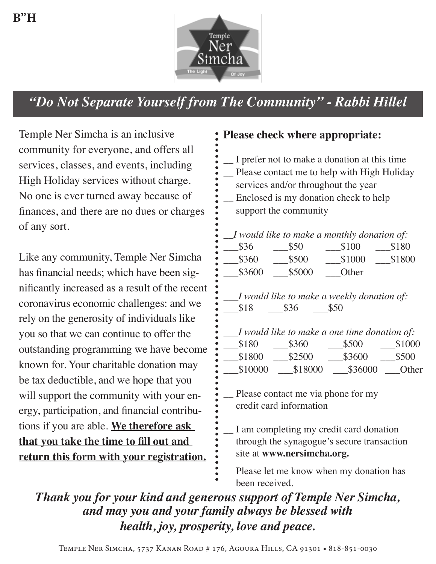

# *"Do Not Separate Yourself from The Community" - Rabbi Hillel*

Temple Ner Simcha is an inclusive community for everyone, and offers all services, classes, and events, including High Holiday services without charge. No one is ever turned away because of finances, and there are no dues or charges of any sort.

Like any community, Temple Ner Simcha has financial needs; which have been significantly increased as a result of the recent coronavirus economic challenges: and we rely on the generosity of individuals like you so that we can continue to offer the outstanding programming we have become known for. Your charitable donation may be tax deductible, and we hope that you will support the community with your energy, participation, and financial contributions if you are able. **We therefore ask that you take the time to fill out and return this form with your registration.**

### **Please check where appropriate:**

- \_\_ I prefer not to make a donation at this time
- \_\_ Please contact me to help with High Holiday
- services and/or throughout the year
- Enclosed is my donation check to help support the community

*\_\_I would like to make a monthly donation of:*

| \$36   | \$50   | \$100  | \$180  |
|--------|--------|--------|--------|
| \$360  | \$500  | \$1000 | \$1800 |
| \$3600 | \$5000 | Other  |        |

- *\_\_\_I would like to make a weekly donation of:*  $$18$   $$36$   $$50$
- \_\_\_*I would like to make a one time donation of:*  $$180$   $$360$   $$500$   $$1000$ \$1800 \$2500 \$3600 \$500 \$10000 \$18000 \$36000 Other
- Please contact me via phone for my credit card information
- I am completing my credit card donation through the synagogue's secure transaction site at **www.nersimcha.org.**
	- Please let me know when my donation has been received.

*Thank you for your kind and generous support of Temple Ner Simcha, and may you and your family always be blessed with health, joy, prosperity, love and peace.*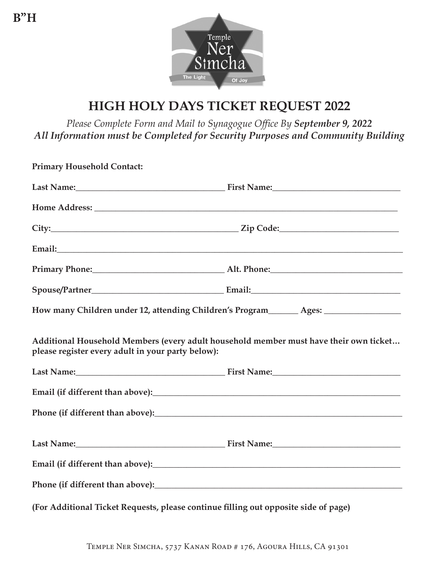

# **HIGH HOLY DAYS TICKET REQUEST 2022**

*Please Complete Form and Mail to Synagogue Office By September 9, 2022 All Information must be Completed for Security Purposes and Community Building*

| <b>Primary Household Contact:</b>                                                   |                                                                                       |
|-------------------------------------------------------------------------------------|---------------------------------------------------------------------------------------|
|                                                                                     |                                                                                       |
|                                                                                     |                                                                                       |
|                                                                                     |                                                                                       |
|                                                                                     |                                                                                       |
|                                                                                     | Primary Phone: Alt. Phone: Alt. Phone:                                                |
|                                                                                     |                                                                                       |
|                                                                                     | How many Children under 12, attending Children's Program_______ Ages: ___________     |
| please register every adult in your party below):                                   | Additional Household Members (every adult household member must have their own ticket |
|                                                                                     |                                                                                       |
|                                                                                     |                                                                                       |
|                                                                                     |                                                                                       |
|                                                                                     | Last Name: First Name: First Name:                                                    |
|                                                                                     |                                                                                       |
|                                                                                     |                                                                                       |
| (For Additional Ticket Requests, please continue filling out opposite side of page) |                                                                                       |